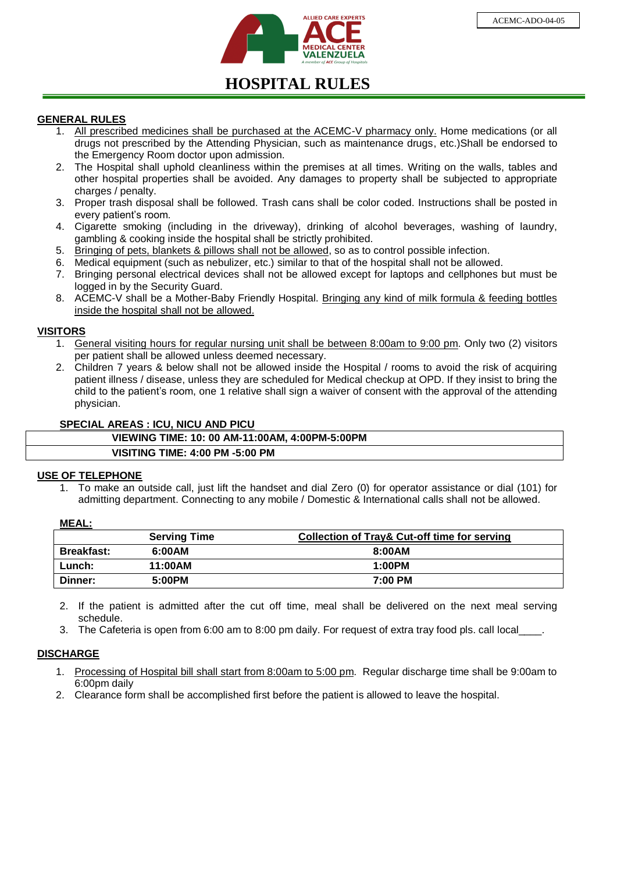

# **HOSPITAL RULES**

## **GENERAL RULES**

- 1. All prescribed medicines shall be purchased at the ACEMC-V pharmacy only. Home medications (or all drugs not prescribed by the Attending Physician, such as maintenance drugs, etc.)Shall be endorsed to the Emergency Room doctor upon admission.
- 2. The Hospital shall uphold cleanliness within the premises at all times. Writing on the walls, tables and other hospital properties shall be avoided. Any damages to property shall be subjected to appropriate charges / penalty.
- 3. Proper trash disposal shall be followed. Trash cans shall be color coded. Instructions shall be posted in every patient's room.
- 4. Cigarette smoking (including in the driveway), drinking of alcohol beverages, washing of laundry, gambling & cooking inside the hospital shall be strictly prohibited.
- 5. Bringing of pets, blankets & pillows shall not be allowed, so as to control possible infection.
- 6. Medical equipment (such as nebulizer, etc.) similar to that of the hospital shall not be allowed.
- 7. Bringing personal electrical devices shall not be allowed except for laptops and cellphones but must be logged in by the Security Guard.
- 8. ACEMC-V shall be a Mother-Baby Friendly Hospital. Bringing any kind of milk formula & feeding bottles inside the hospital shall not be allowed.

## **VISITORS**

- 1. General visiting hours for regular nursing unit shall be between 8:00am to 9:00 pm. Only two (2) visitors per patient shall be allowed unless deemed necessary.
- 2. Children 7 years & below shall not be allowed inside the Hospital / rooms to avoid the risk of acquiring patient illness / disease, unless they are scheduled for Medical checkup at OPD. If they insist to bring the child to the patient's room, one 1 relative shall sign a waiver of consent with the approval of the attending physician.

## **SPECIAL AREAS : ICU, NICU AND PICU**

| VIEWING TIME: 10: 00 AM-11:00AM, 4:00PM-5:00PM |  |
|------------------------------------------------|--|
| <b>VISITING TIME: 4:00 PM -5:00 PM</b>         |  |

### **USE OF TELEPHONE**

1. To make an outside call, just lift the handset and dial Zero (0) for operator assistance or dial (101) for admitting department. Connecting to any mobile / Domestic & International calls shall not be allowed.

### **MEAL:**

|                   | <b>Serving Time</b> | <b>Collection of Tray&amp; Cut-off time for serving</b> |
|-------------------|---------------------|---------------------------------------------------------|
| <b>Breakfast:</b> | 6:00AM              | 8:00AM                                                  |
| Lunch:            | 11:00AM             | 1:00PM                                                  |
| Dinner:           | 5:00PM              | 7:00 PM                                                 |

- 2. If the patient is admitted after the cut off time, meal shall be delivered on the next meal serving schedule.
- 3. The Cafeteria is open from 6:00 am to 8:00 pm daily. For request of extra tray food pls. call local

### **DISCHARGE**

- 1. Processing of Hospital bill shall start from 8:00am to 5:00 pm. Regular discharge time shall be 9:00am to 6:00pm daily
- 2. Clearance form shall be accomplished first before the patient is allowed to leave the hospital.